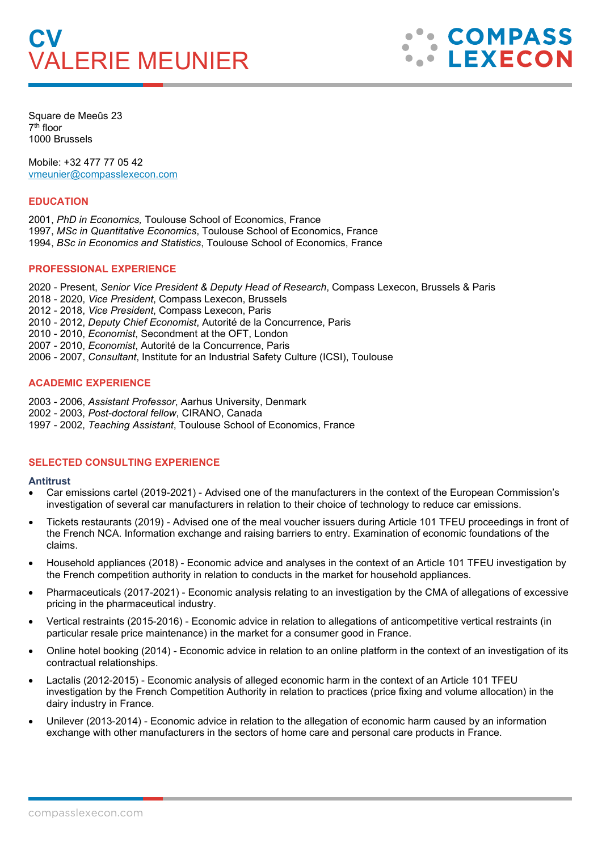# **CV** VALERIE MEUNIER



Square de Meeûs 23 7th floor 1000 Brussels

Mobile: +32 477 77 05 42 [vmeunier@compasslexecon.com](mailto:vmeunier@compasslexecon.com) 

## **EDUCATION**

2001, *PhD in Economics,* Toulouse School of Economics, France 1997, *MSc in Quantitative Economics*, Toulouse School of Economics, France 1994, *BSc in Economics and Statistics*, Toulouse School of Economics, France

#### **PROFESSIONAL EXPERIENCE**

2020 - Present, *Senior Vice President & Deputy Head of Research*, Compass Lexecon, Brussels & Paris 2018 - 2020, *Vice President*, Compass Lexecon, Brussels 2012 - 2018, *Vice President*, Compass Lexecon, Paris 2010 - 2012, *Deputy Chief Economist*, Autorité de la Concurrence, Paris 2010 - 2010, *Economist*, Secondment at the OFT, London 2007 - 2010, *Economist*, Autorité de la Concurrence, Paris 2006 - 2007, *Consultant*, Institute for an Industrial Safety Culture (ICSI), Toulouse

## **ACADEMIC EXPERIENCE**

2003 - 2006, *Assistant Professor*, Aarhus University, Denmark 2002 - 2003, *Post-doctoral fellow*, CIRANO, Canada 1997 - 2002, *Teaching Assistant*, Toulouse School of Economics, France

#### **SELECTED CONSULTING EXPERIENCE**

#### **Antitrust**

- Car emissions cartel (2019-2021) Advised one of the manufacturers in the context of the European Commission's investigation of several car manufacturers in relation to their choice of technology to reduce car emissions.
- Tickets restaurants (2019) Advised one of the meal voucher issuers during Article 101 TFEU proceedings in front of the French NCA. Information exchange and raising barriers to entry. Examination of economic foundations of the claims.
- Household appliances (2018) Economic advice and analyses in the context of an Article 101 TFEU investigation by the French competition authority in relation to conducts in the market for household appliances.
- Pharmaceuticals (2017-2021) Economic analysis relating to an investigation by the CMA of allegations of excessive pricing in the pharmaceutical industry.
- Vertical restraints (2015-2016) Economic advice in relation to allegations of anticompetitive vertical restraints (in particular resale price maintenance) in the market for a consumer good in France.
- Online hotel booking (2014) Economic advice in relation to an online platform in the context of an investigation of its contractual relationships.
- Lactalis (2012-2015) Economic analysis of alleged economic harm in the context of an Article 101 TFEU investigation by the French Competition Authority in relation to practices (price fixing and volume allocation) in the dairy industry in France.
- Unilever (2013-2014) Economic advice in relation to the allegation of economic harm caused by an information exchange with other manufacturers in the sectors of home care and personal care products in France.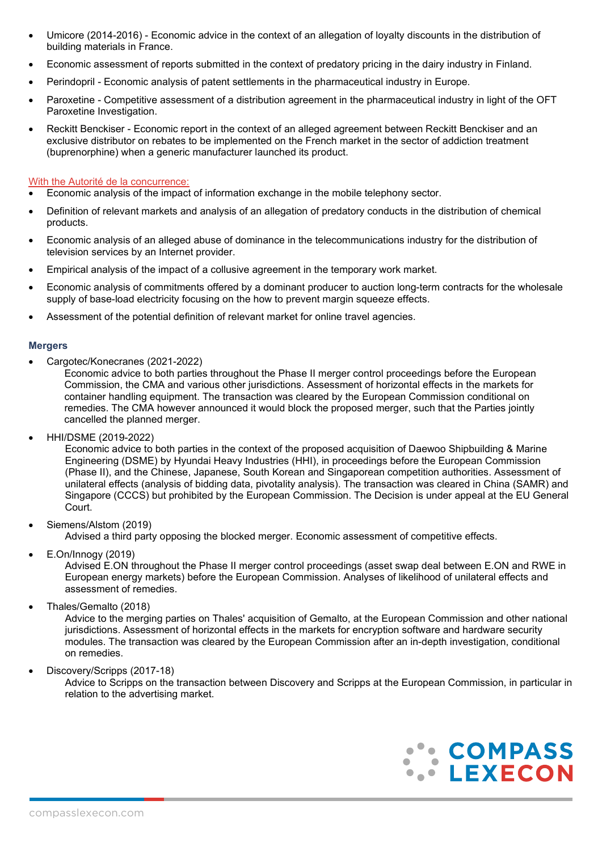- Umicore (2014-2016) Economic advice in the context of an allegation of loyalty discounts in the distribution of building materials in France.
- Economic assessment of reports submitted in the context of predatory pricing in the dairy industry in Finland.
- Perindopril Economic analysis of patent settlements in the pharmaceutical industry in Europe.
- Paroxetine Competitive assessment of a distribution agreement in the pharmaceutical industry in light of the OFT Paroxetine Investigation.
- Reckitt Benckiser Economic report in the context of an alleged agreement between Reckitt Benckiser and an exclusive distributor on rebates to be implemented on the French market in the sector of addiction treatment (buprenorphine) when a generic manufacturer launched its product.

## With the Autorité de la concurrence:

- Economic analysis of the impact of information exchange in the mobile telephony sector.
- Definition of relevant markets and analysis of an allegation of predatory conducts in the distribution of chemical products.
- Economic analysis of an alleged abuse of dominance in the telecommunications industry for the distribution of television services by an Internet provider.
- Empirical analysis of the impact of a collusive agreement in the temporary work market.
- Economic analysis of commitments offered by a dominant producer to auction long-term contracts for the wholesale supply of base-load electricity focusing on the how to prevent margin squeeze effects.
- Assessment of the potential definition of relevant market for online travel agencies.

#### **Mergers**

• Cargotec/Konecranes (2021-2022)

Economic advice to both parties throughout the Phase II merger control proceedings before the European Commission, the CMA and various other jurisdictions. Assessment of horizontal effects in the markets for container handling equipment. The transaction was cleared by the European Commission conditional on remedies. The CMA however announced it would block the proposed merger, such that the Parties jointly cancelled the planned merger.

• HHI/DSME (2019-2022)

Economic advice to both parties in the context of the proposed acquisition of Daewoo Shipbuilding & Marine Engineering (DSME) by Hyundai Heavy Industries (HHI), in proceedings before the European Commission (Phase II), and the Chinese, Japanese, South Korean and Singaporean competition authorities. Assessment of unilateral effects (analysis of bidding data, pivotality analysis). The transaction was cleared in China (SAMR) and Singapore (CCCS) but prohibited by the European Commission. The Decision is under appeal at the EU General Court.

• Siemens/Alstom (2019)

Advised a third party opposing the blocked merger. Economic assessment of competitive effects.

• E.On/Innogy (2019)

Advised E.ON throughout the Phase II merger control proceedings (asset swap deal between E.ON and RWE in European energy markets) before the European Commission. Analyses of likelihood of unilateral effects and assessment of remedies.

• Thales/Gemalto (2018)

Advice to the merging parties on Thales' acquisition of Gemalto, at the European Commission and other national jurisdictions. Assessment of horizontal effects in the markets for encryption software and hardware security modules. The transaction was cleared by the European Commission after an in-depth investigation, conditional on remedies.

• Discovery/Scripps (2017-18)

Advice to Scripps on the transaction between Discovery and Scripps at the European Commission, in particular in relation to the advertising market.

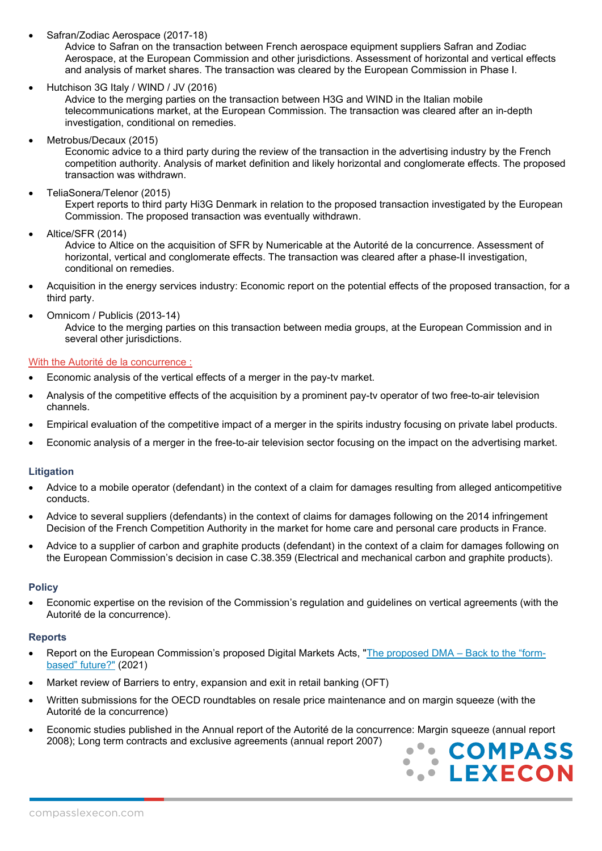• Safran/Zodiac Aerospace (2017-18)

Advice to Safran on the transaction between French aerospace equipment suppliers Safran and Zodiac Aerospace, at the European Commission and other jurisdictions. Assessment of horizontal and vertical effects and analysis of market shares. The transaction was cleared by the European Commission in Phase I.

• Hutchison 3G Italy / WIND / JV (2016)

Advice to the merging parties on the transaction between H3G and WIND in the Italian mobile telecommunications market, at the European Commission. The transaction was cleared after an in-depth investigation, conditional on remedies.

- Metrobus/Decaux (2015) Economic advice to a third party during the review of the transaction in the advertising industry by the French competition authority. Analysis of market definition and likely horizontal and conglomerate effects. The proposed transaction was withdrawn.
- TeliaSonera/Telenor (2015)

Expert reports to third party Hi3G Denmark in relation to the proposed transaction investigated by the European Commission. The proposed transaction was eventually withdrawn.

• Altice/SFR (2014)

Advice to Altice on the acquisition of SFR by Numericable at the Autorité de la concurrence. Assessment of horizontal, vertical and conglomerate effects. The transaction was cleared after a phase-II investigation, conditional on remedies.

- Acquisition in the energy services industry: Economic report on the potential effects of the proposed transaction, for a third party.
- Omnicom / Publicis (2013-14)

Advice to the merging parties on this transaction between media groups, at the European Commission and in several other jurisdictions.

## With the Autorité de la concurrence :

- Economic analysis of the vertical effects of a merger in the pay-tv market.
- Analysis of the competitive effects of the acquisition by a prominent pay-tv operator of two free-to-air television channels.
- Empirical evaluation of the competitive impact of a merger in the spirits industry focusing on private label products.
- Economic analysis of a merger in the free-to-air television sector focusing on the impact on the advertising market.

## **Litigation**

- Advice to a mobile operator (defendant) in the context of a claim for damages resulting from alleged anticompetitive conducts.
- Advice to several suppliers (defendants) in the context of claims for damages following on the 2014 infringement Decision of the French Competition Authority in the market for home care and personal care products in France.
- Advice to a supplier of carbon and graphite products (defendant) in the context of a claim for damages following on the European Commission's decision in case C.38.359 (Electrical and mechanical carbon and graphite products).

#### **Policy**

• Economic expertise on the revision of the Commission's regulation and guidelines on vertical agreements (with the Autorité de la concurrence).

#### **Reports**

- Report on the European Commission's proposed Digital Markets Acts, ["The proposed DMA –](https://www.compasslexecon.com/the-proposed-dma-back-to-the-form-based-future/) Back to the "form[based" future?"](https://www.compasslexecon.com/the-proposed-dma-back-to-the-form-based-future/) (2021)
- Market review of Barriers to entry, expansion and exit in retail banking (OFT)
- Written submissions for the OECD roundtables on resale price maintenance and on margin squeeze (with the Autorité de la concurrence)
- Economic studies published in the Annual report of the Autorité de la concurrence: Margin squeeze (annual report 2008); Long term contracts and exclusive agreements (annual report 2007)

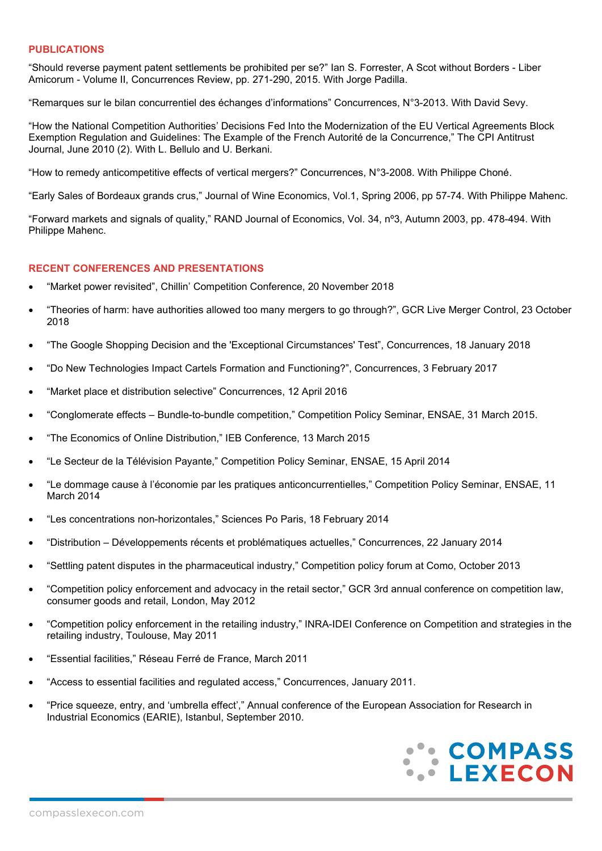#### **PUBLICATIONS**

"Should reverse payment patent settlements be prohibited per se?" Ian S. Forrester, A Scot without Borders - Liber Amicorum - Volume II, Concurrences Review, pp. 271-290, 2015. With Jorge Padilla.

"Remarques sur le bilan concurrentiel des échanges d'informations" Concurrences, N°3-2013. With David Sevy.

"How the National Competition Authorities' Decisions Fed Into the Modernization of the EU Vertical Agreements Block Exemption Regulation and Guidelines: The Example of the French Autorité de la Concurrence," The CPI Antitrust Journal, June 2010 (2). With L. Bellulo and U. Berkani.

"How to remedy anticompetitive effects of vertical mergers?" Concurrences, N°3-2008. With Philippe Choné.

"Early Sales of Bordeaux grands crus," Journal of Wine Economics, Vol.1, Spring 2006, pp 57-74. With Philippe Mahenc.

"Forward markets and signals of quality," RAND Journal of Economics, Vol. 34, nº3, Autumn 2003, pp. 478-494. With Philippe Mahenc.

## **RECENT CONFERENCES AND PRESENTATIONS**

- "Market power revisited", Chillin' Competition Conference, 20 November 2018
- "Theories of harm: have authorities allowed too many mergers to go through?", GCR Live Merger Control, 23 October 2018
- "The Google Shopping Decision and the 'Exceptional Circumstances' Test", Concurrences, 18 January 2018
- "Do New Technologies Impact Cartels Formation and Functioning?", Concurrences, 3 February 2017
- "Market place et distribution selective" Concurrences, 12 April 2016
- "Conglomerate effects Bundle-to-bundle competition," Competition Policy Seminar, ENSAE, 31 March 2015.
- "The Economics of Online Distribution," IEB Conference, 13 March 2015
- "Le Secteur de la Télévision Payante," Competition Policy Seminar, ENSAE, 15 April 2014
- "Le dommage cause à l'économie par les pratiques anticoncurrentielles," Competition Policy Seminar, ENSAE, 11 March 2014
- "Les concentrations non-horizontales," Sciences Po Paris, 18 February 2014
- "Distribution Développements récents et problématiques actuelles," Concurrences, 22 January 2014
- "Settling patent disputes in the pharmaceutical industry," Competition policy forum at Como, October 2013
- "Competition policy enforcement and advocacy in the retail sector," GCR 3rd annual conference on competition law, consumer goods and retail, London, May 2012
- "Competition policy enforcement in the retailing industry," INRA-IDEI Conference on Competition and strategies in the retailing industry, Toulouse, May 2011
- "Essential facilities," Réseau Ferré de France, March 2011
- "Access to essential facilities and regulated access," Concurrences, January 2011.
- "Price squeeze, entry, and 'umbrella effect'," Annual conference of the European Association for Research in Industrial Economics (EARIE), Istanbul, September 2010.